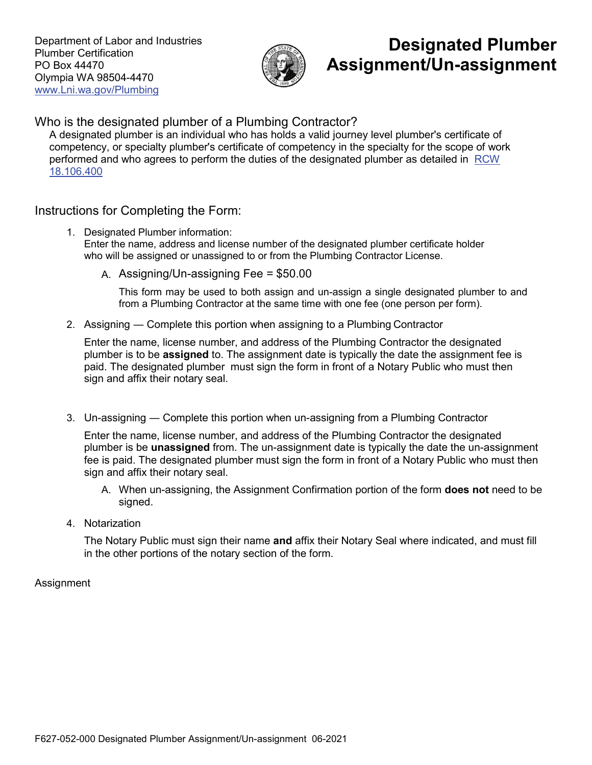Department of Labor and Industries Plumber Certification PO Box 44470 Olympia WA 98504-4470 www.Lni.wa.gov/Plumbing



# **Designated Plumber Assignment/Un-assignment**

Who is the designated plumber of a Plumbing Contractor?

A designated plumber is an individual who has holds a valid journey level plumber's certificate of competency, or specialty plumber's certificate of competency in the specialty for the scope of work performed and who agrees to perform the duties of the designated plumber as detailed in [RCW](https://app.leg.wa.gov/RCW/default.aspx?cite=18.106.400)  [18.106.400](https://app.leg.wa.gov/RCW/default.aspx?cite=18.106.400)

# Instructions for Completing the Form:

- 1. Designated Plumber information: Enter the name, address and license number of the designated plumber certificate holder who will be assigned or unassigned to or from the Plumbing Contractor License.
	- A. Assigning/Un-assigning Fee = \$50.00

This form may be used to both assign and un-assign a single designated plumber to and from a Plumbing Contractor at the same time with one fee (one person per form).

2. Assigning ― Complete this portion when assigning to a Plumbing Contractor

Enter the name, license number, and address of the Plumbing Contractor the designated plumber is to be **assigned** to. The assignment date is typically the date the assignment fee is paid. The designated plumber must sign the form in front of a Notary Public who must then sign and affix their notary seal.

3. Un-assigning ― Complete this portion when un-assigning from a Plumbing Contractor

Enter the name, license number, and address of the Plumbing Contractor the designated plumber is be **unassigned** from. The un-assignment date is typically the date the un-assignment fee is paid. The designated plumber must sign the form in front of a Notary Public who must then sign and affix their notary seal.

- A. When un-assigning, the Assignment Confirmation portion of the form **does not** need to be signed.
- 4. Notarization

The Notary Public must sign their name **and** affix their Notary Seal where indicated, and must fill in the other portions of the notary section of the form.

## Assignment